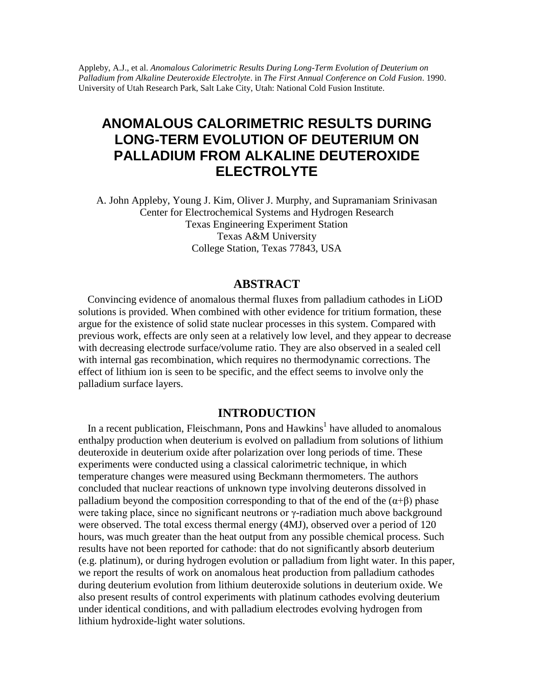Appleby, A.J., et al. *Anomalous Calorimetric Results During Long-Term Evolution of Deuterium on Palladium from Alkaline Deuteroxide Electrolyte*. in *The First Annual Conference on Cold Fusion*. 1990. University of Utah Research Park, Salt Lake City, Utah: National Cold Fusion Institute.

# **ANOMALOUS CALORIMETRIC RESULTS DURING LONG-TERM EVOLUTION OF DEUTERIUM ON PALLADIUM FROM ALKALINE DEUTEROXIDE ELECTROLYTE**

A. John Appleby, Young J. Kim, Oliver J. Murphy, and Supramaniam Srinivasan Center for Electrochemical Systems and Hydrogen Research Texas Engineering Experiment Station Texas A&M University College Station, Texas 77843, USA

# **ABSTRACT**

Convincing evidence of anomalous thermal fluxes from palladium cathodes in LiOD solutions is provided. When combined with other evidence for tritium formation, these argue for the existence of solid state nuclear processes in this system. Compared with previous work, effects are only seen at a relatively low level, and they appear to decrease with decreasing electrode surface/volume ratio. They are also observed in a sealed cell with internal gas recombination, which requires no thermodynamic corrections. The effect of lithium ion is seen to be specific, and the effect seems to involve only the palladium surface layers.

## **INTRODUCTION**

In a recent publication, Fleischmann, Pons and  $Hawkins<sup>1</sup>$  have alluded to anomalous enthalpy production when deuterium is evolved on palladium from solutions of lithium deuteroxide in deuterium oxide after polarization over long periods of time. These experiments were conducted using a classical calorimetric technique, in which temperature changes were measured using Beckmann thermometers. The authors concluded that nuclear reactions of unknown type involving deuterons dissolved in palladium beyond the composition corresponding to that of the end of the  $(\alpha+\beta)$  phase were taking place, since no significant neutrons or γ-radiation much above background were observed. The total excess thermal energy (4MJ), observed over a period of 120 hours, was much greater than the heat output from any possible chemical process. Such results have not been reported for cathode: that do not significantly absorb deuterium (e.g. platinum), or during hydrogen evolution or palladium from light water. In this paper, we report the results of work on anomalous heat production from palladium cathodes during deuterium evolution from lithium deuteroxide solutions in deuterium oxide. We also present results of control experiments with platinum cathodes evolving deuterium under identical conditions, and with palladium electrodes evolving hydrogen from lithium hydroxide-light water solutions.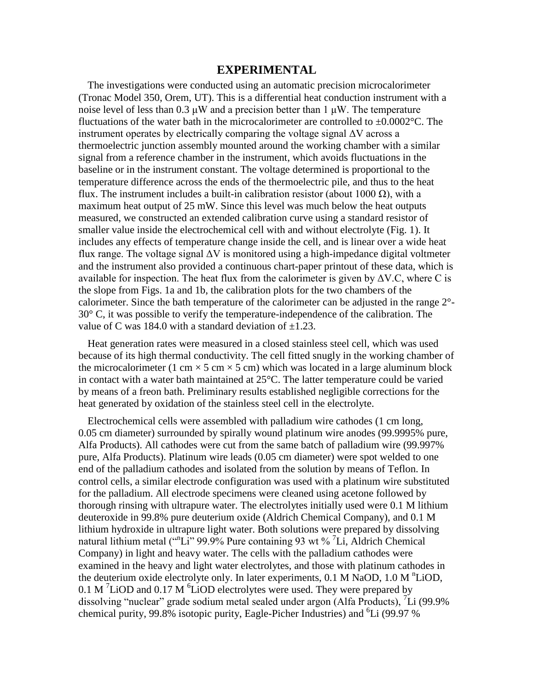#### **EXPERIMENTAL**

The investigations were conducted using an automatic precision microcalorimeter (Tronac Model 350, Orem, UT). This is a differential heat conduction instrument with a noise level of less than 0.3  $\mu$ W and a precision better than 1  $\mu$ W. The temperature fluctuations of the water bath in the microcalorimeter are controlled to  $\pm 0.0002$ °C. The instrument operates by electrically comparing the voltage signal  $\Delta V$  across a thermoelectric junction assembly mounted around the working chamber with a similar signal from a reference chamber in the instrument, which avoids fluctuations in the baseline or in the instrument constant. The voltage determined is proportional to the temperature difference across the ends of the thermoelectric pile, and thus to the heat flux. The instrument includes a built-in calibration resistor (about 1000 Ω), with a maximum heat output of 25 mW. Since this level was much below the heat outputs measured, we constructed an extended calibration curve using a standard resistor of smaller value inside the electrochemical cell with and without electrolyte (Fig. 1). It includes any effects of temperature change inside the cell, and is linear over a wide heat flux range. The voltage signal  $\Delta V$  is monitored using a high-impedance digital voltmeter and the instrument also provided a continuous chart-paper printout of these data, which is available for inspection. The heat flux from the calorimeter is given by  $\Delta V.C$ , where C is the slope from Figs. 1a and 1b, the calibration plots for the two chambers of the calorimeter. Since the bath temperature of the calorimeter can be adjusted in the range 2°- 30° C, it was possible to verify the temperature-independence of the calibration. The value of C was 184.0 with a standard deviation of  $\pm 1.23$ .

Heat generation rates were measured in a closed stainless steel cell, which was used because of its high thermal conductivity. The cell fitted snugly in the working chamber of the microcalorimeter (1 cm  $\times$  5 cm  $\times$  5 cm) which was located in a large aluminum block in contact with a water bath maintained at 25°C. The latter temperature could be varied by means of a freon bath. Preliminary results established negligible corrections for the heat generated by oxidation of the stainless steel cell in the electrolyte.

Electrochemical cells were assembled with palladium wire cathodes (1 cm long, 0.05 cm diameter) surrounded by spirally wound platinum wire anodes (99.9995% pure, Alfa Products). All cathodes were cut from the same batch of palladium wire (99.997% pure, Alfa Products). Platinum wire leads (0.05 cm diameter) were spot welded to one end of the palladium cathodes and isolated from the solution by means of Teflon. In control cells, a similar electrode configuration was used with a platinum wire substituted for the palladium. All electrode specimens were cleaned using acetone followed by thorough rinsing with ultrapure water. The electrolytes initially used were 0.1 M lithium deuteroxide in 99.8% pure deuterium oxide (Aldrich Chemical Company), and 0.1 M lithium hydroxide in ultrapure light water. Both solutions were prepared by dissolving natural lithium metal ("Li" 99.9% Pure containing 93 wt % <sup>7</sup>Li, Aldrich Chemical Company) in light and heavy water. The cells with the palladium cathodes were examined in the heavy and light water electrolytes, and those with platinum cathodes in the deuterium oxide electrolyte only. In later experiments, 0.1 M NaOD, 1.0 M <sup>n</sup>LiOD,  $0.1$  M  $\frac{7}{10}$  and  $0.17$  M  $\frac{6}{10}$  electrolytes were used. They were prepared by dissolving "nuclear" grade sodium metal sealed under argon (Alfa Products), <sup>7</sup>Li (99.9% chemical purity, 99.8% isotopic purity, Eagle-Picher Industries) and <sup>6</sup>Li (99.97 %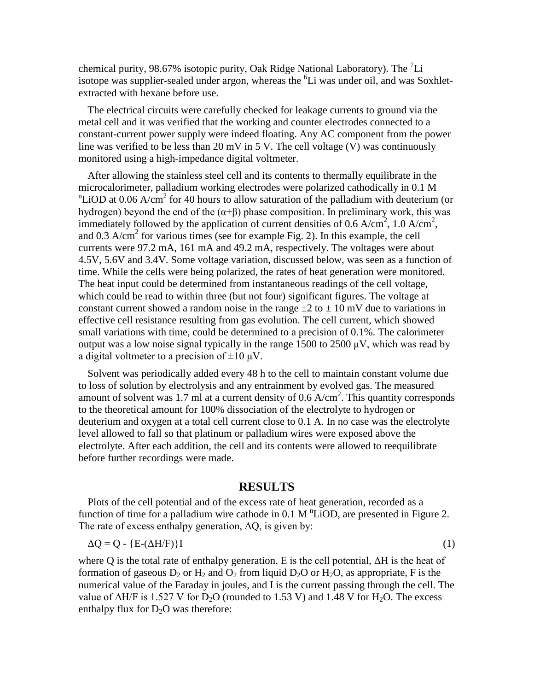chemical purity, 98.67% isotopic purity, Oak Ridge National Laboratory). The  $^7$ Li isotope was supplier-sealed under argon, whereas the  ${}^{6}$ Li was under oil, and was Soxhletextracted with hexane before use.

The electrical circuits were carefully checked for leakage currents to ground via the metal cell and it was verified that the working and counter electrodes connected to a constant-current power supply were indeed floating. Any AC component from the power line was verified to be less than 20 mV in 5 V. The cell voltage (V) was continuously monitored using a high-impedance digital voltmeter.

After allowing the stainless steel cell and its contents to thermally equilibrate in the microcalorimeter, palladium working electrodes were polarized cathodically in 0.1 M  $n$ LiOD at 0.06 A/cm<sup>2</sup> for 40 hours to allow saturation of the palladium with deuterium (or hydrogen) beyond the end of the  $(\alpha+\beta)$  phase composition. In preliminary work, this was immediately followed by the application of current densities of 0.6 A/cm<sup>2</sup>, 1.0 A/cm<sup>2</sup>, and  $0.3$  A/cm<sup>2</sup> for various times (see for example Fig. 2). In this example, the cell currents were 97.2 mA, 161 mA and 49.2 mA, respectively. The voltages were about 4.5V, 5.6V and 3.4V. Some voltage variation, discussed below, was seen as a function of time. While the cells were being polarized, the rates of heat generation were monitored. The heat input could be determined from instantaneous readings of the cell voltage, which could be read to within three (but not four) significant figures. The voltage at constant current showed a random noise in the range  $\pm 2$  to  $\pm 10$  mV due to variations in effective cell resistance resulting from gas evolution. The cell current, which showed small variations with time, could be determined to a precision of 0.1%. The calorimeter output was a low noise signal typically in the range 1500 to 2500  $\mu$ V, which was read by a digital voltmeter to a precision of  $\pm 10 \mu V$ .

Solvent was periodically added every 48 h to the cell to maintain constant volume due to loss of solution by electrolysis and any entrainment by evolved gas. The measured amount of solvent was 1.7 ml at a current density of  $0.6$  A/cm<sup>2</sup>. This quantity corresponds to the theoretical amount for 100% dissociation of the electrolyte to hydrogen or deuterium and oxygen at a total cell current close to 0.1 A. In no case was the electrolyte level allowed to fall so that platinum or palladium wires were exposed above the electrolyte. After each addition, the cell and its contents were allowed to reequilibrate before further recordings were made.

#### **RESULTS**

Plots of the cell potential and of the excess rate of heat generation, recorded as a function of time for a palladium wire cathode in  $0.1 \text{ M}$   $\text{LiOD}$ , are presented in Figure 2. The rate of excess enthalpy generation,  $\Delta Q$ , is given by:

$$
\Delta Q = Q - \{E - (\Delta H / F)\}I \tag{1}
$$

where Q is the total rate of enthalpy generation, E is the cell potential,  $\Delta H$  is the heat of formation of gaseous  $D_2$  or  $H_2$  and  $O_2$  from liquid  $D_2O$  or  $H_2O$ , as appropriate, F is the numerical value of the Faraday in joules, and I is the current passing through the cell. The value of  $\Delta H/F$  is 1.527 V for D<sub>2</sub>O (rounded to 1.53 V) and 1.48 V for H<sub>2</sub>O. The excess enthalpy flux for  $D_2O$  was therefore: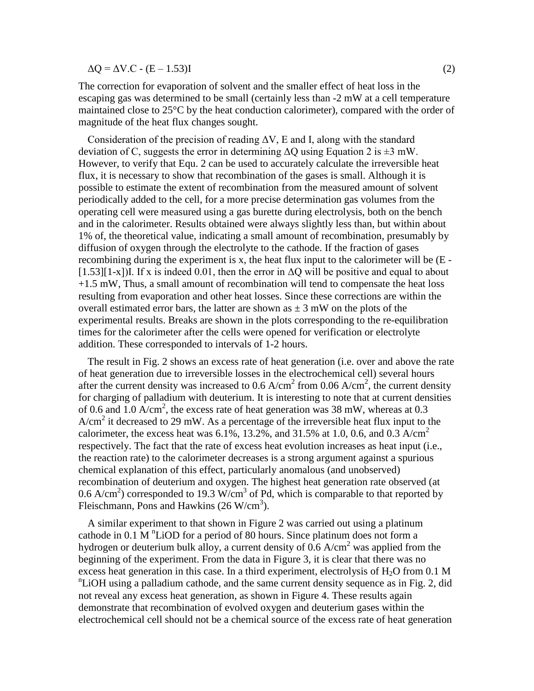$\Delta$ O =  $\Delta$ V.C - (E – 1.53)I (2)

The correction for evaporation of solvent and the smaller effect of heat loss in the escaping gas was determined to be small (certainly less than -2 mW at a cell temperature maintained close to 25°C by the heat conduction calorimeter), compared with the order of magnitude of the heat flux changes sought.

Consideration of the precision of reading  $\Delta V$ , E and I, along with the standard deviation of C, suggests the error in determining  $\Delta Q$  using Equation 2 is  $\pm 3$  mW. However, to verify that Equ. 2 can be used to accurately calculate the irreversible heat flux, it is necessary to show that recombination of the gases is small. Although it is possible to estimate the extent of recombination from the measured amount of solvent periodically added to the cell, for a more precise determination gas volumes from the operating cell were measured using a gas burette during electrolysis, both on the bench and in the calorimeter. Results obtained were always slightly less than, but within about 1% of, the theoretical value, indicating a small amount of recombination, presumably by diffusion of oxygen through the electrolyte to the cathode. If the fraction of gases recombining during the experiment is x, the heat flux input to the calorimeter will be (E -  $[1.53][1-x]$ ]I. If x is indeed 0.01, then the error in  $\Delta$ Q will be positive and equal to about +1.5 mW, Thus, a small amount of recombination will tend to compensate the heat loss resulting from evaporation and other heat losses. Since these corrections are within the overall estimated error bars, the latter are shown as  $\pm$  3 mW on the plots of the experimental results. Breaks are shown in the plots corresponding to the re-equilibration times for the calorimeter after the cells were opened for verification or electrolyte addition. These corresponded to intervals of 1-2 hours.

The result in Fig. 2 shows an excess rate of heat generation (i.e. over and above the rate of heat generation due to irreversible losses in the electrochemical cell) several hours after the current density was increased to 0.6  $A/cm^2$  from 0.06  $A/cm^2$ , the current density for charging of palladium with deuterium. It is interesting to note that at current densities of 0.6 and 1.0 A/cm<sup>2</sup>, the excess rate of heat generation was 38 mW, whereas at 0.3  $A/cm<sup>2</sup>$  it decreased to 29 mW. As a percentage of the irreversible heat flux input to the calorimeter, the excess heat was  $6.1\%$ , 13.2%, and 31.5% at 1.0, 0.6, and 0.3 A/cm<sup>2</sup> respectively. The fact that the rate of excess heat evolution increases as heat input (i.e., the reaction rate) to the calorimeter decreases is a strong argument against a spurious chemical explanation of this effect, particularly anomalous (and unobserved) recombination of deuterium and oxygen. The highest heat generation rate observed (at 0.6 A/cm<sup>2</sup>) corresponded to 19.3 W/cm<sup>3</sup> of Pd, which is comparable to that reported by Fleischmann, Pons and Hawkins  $(26 \text{ W/cm}^3)$ .

A similar experiment to that shown in Figure 2 was carried out using a platinum cathode in  $0.1 \text{ M}$  <sup>n</sup>LiOD for a period of 80 hours. Since platinum does not form a hydrogen or deuterium bulk alloy, a current density of 0.6  $A/cm<sup>2</sup>$  was applied from the beginning of the experiment. From the data in Figure 3, it is clear that there was no excess heat generation in this case. In a third experiment, electrolysis of  $H<sub>2</sub>O$  from 0.1 M <sup>n</sup>LiOH using a palladium cathode, and the same current density sequence as in Fig. 2, did not reveal any excess heat generation, as shown in Figure 4. These results again demonstrate that recombination of evolved oxygen and deuterium gases within the electrochemical cell should not be a chemical source of the excess rate of heat generation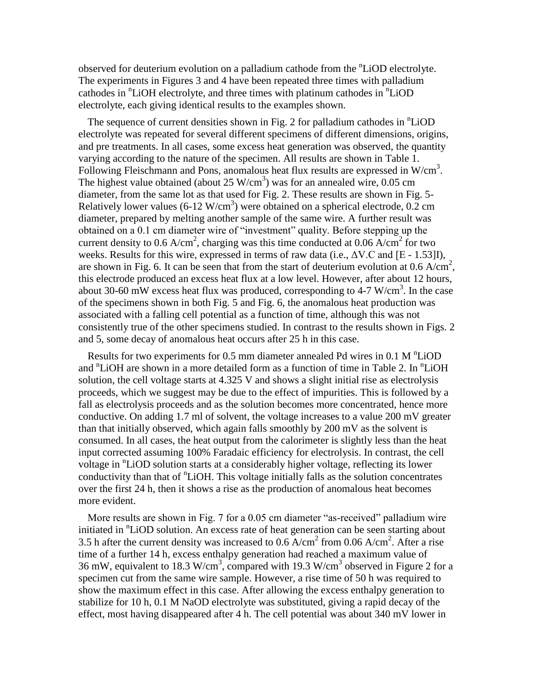observed for deuterium evolution on a palladium cathode from the <sup>n</sup>LiOD electrolyte. The experiments in Figures 3 and 4 have been repeated three times with palladium cathodes in <sup>n</sup>LiOH electrolyte, and three times with platinum cathodes in <sup>n</sup>LiOD electrolyte, each giving identical results to the examples shown.

The sequence of current densities shown in Fig. 2 for palladium cathodes in <sup>n</sup>LiOD electrolyte was repeated for several different specimens of different dimensions, origins, and pre treatments. In all cases, some excess heat generation was observed, the quantity varying according to the nature of the specimen. All results are shown in Table 1. Following Fleischmann and Pons, anomalous heat flux results are expressed in W/cm<sup>3</sup>. The highest value obtained (about  $25 \text{ W/cm}^3$ ) was for an annealed wire, 0.05 cm diameter, from the same lot as that used for Fig. 2. These results are shown in Fig. 5- Relatively lower values (6-12 W/cm<sup>3</sup>) were obtained on a spherical electrode, 0.2 cm diameter, prepared by melting another sample of the same wire. A further result was obtained on a 0.1 cm diameter wire of "investment" quality. Before stepping up the current density to 0.6  $A/cm^2$ , charging was this time conducted at 0.06  $A/cm^2$  for two weeks. Results for this wire, expressed in terms of raw data (i.e.,  $\Delta V$ .C and [E - 1.53]I), are shown in Fig. 6. It can be seen that from the start of deuterium evolution at  $0.6$  A/cm<sup>2</sup>, this electrode produced an excess heat flux at a low level. However, after about 12 hours, about 30-60 mW excess heat flux was produced, corresponding to 4-7 W/cm<sup>3</sup>. In the case of the specimens shown in both Fig. 5 and Fig. 6, the anomalous heat production was associated with a falling cell potential as a function of time, although this was not consistently true of the other specimens studied. In contrast to the results shown in Figs. 2 and 5, some decay of anomalous heat occurs after 25 h in this case.

Results for two experiments for  $0.5$  mm diameter annealed Pd wires in  $0.1$  M  $\rm{^nLiOD}$ and <sup>n</sup>LiOH are shown in a more detailed form as a function of time in Table 2. In <sup>n</sup>LiOH solution, the cell voltage starts at 4.325 V and shows a slight initial rise as electrolysis proceeds, which we suggest may be due to the effect of impurities. This is followed by a fall as electrolysis proceeds and as the solution becomes more concentrated, hence more conductive. On adding 1.7 ml of solvent, the voltage increases to a value 200 mV greater than that initially observed, which again falls smoothly by 200 mV as the solvent is consumed. In all cases, the heat output from the calorimeter is slightly less than the heat input corrected assuming 100% Faradaic efficiency for electrolysis. In contrast, the cell voltage in <sup>n</sup>LiOD solution starts at a considerably higher voltage, reflecting its lower conductivity than that of <sup>n</sup>LiOH. This voltage initially falls as the solution concentrates over the first 24 h, then it shows a rise as the production of anomalous heat becomes more evident.

More results are shown in Fig. 7 for a 0.05 cm diameter "as-received" palladium wire initiated in <sup>n</sup>LiOD solution. An excess rate of heat generation can be seen starting about 3.5 h after the current density was increased to  $0.6 \text{ A/cm}^2$  from  $0.06 \text{ A/cm}^2$ . After a rise time of a further 14 h, excess enthalpy generation had reached a maximum value of 36 mW, equivalent to 18.3 W/cm<sup>3</sup>, compared with 19.3 W/cm<sup>3</sup> observed in Figure 2 for a specimen cut from the same wire sample. However, a rise time of 50 h was required to show the maximum effect in this case. After allowing the excess enthalpy generation to stabilize for 10 h, 0.1 M NaOD electrolyte was substituted, giving a rapid decay of the effect, most having disappeared after 4 h. The cell potential was about 340 mV lower in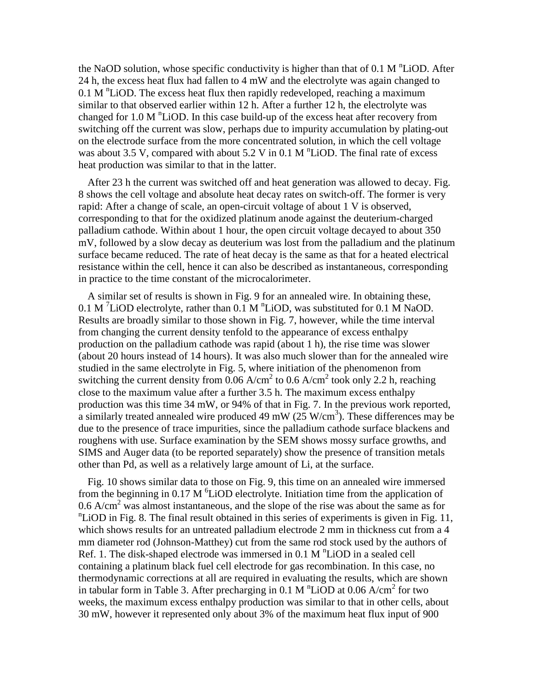the NaOD solution, whose specific conductivity is higher than that of  $0.1 M$   $\rm{^nLiOD}$ . After 24 h, the excess heat flux had fallen to 4 mW and the electrolyte was again changed to  $0.1$  M  $\rm{^{n}LiOD}$ . The excess heat flux then rapidly redeveloped, reaching a maximum similar to that observed earlier within 12 h. After a further 12 h, the electrolyte was changed for  $1.0 M$   $\rm{^nLiOD}$ . In this case build-up of the excess heat after recovery from switching off the current was slow, perhaps due to impurity accumulation by plating-out on the electrode surface from the more concentrated solution, in which the cell voltage was about 3.5 V, compared with about 5.2 V in 0.1 M  $\textsuperscript{n}$ LiOD. The final rate of excess heat production was similar to that in the latter.

After 23 h the current was switched off and heat generation was allowed to decay. Fig. 8 shows the cell voltage and absolute heat decay rates on switch-off. The former is very rapid: After a change of scale, an open-circuit voltage of about 1 V is observed, corresponding to that for the oxidized platinum anode against the deuterium-charged palladium cathode. Within about 1 hour, the open circuit voltage decayed to about 350 mV, followed by a slow decay as deuterium was lost from the palladium and the platinum surface became reduced. The rate of heat decay is the same as that for a heated electrical resistance within the cell, hence it can also be described as instantaneous, corresponding in practice to the time constant of the microcalorimeter.

A similar set of results is shown in Fig. 9 for an annealed wire. In obtaining these, 0.1 M<sup>7</sup>LiOD electrolyte, rather than 0.1 M<sup>n</sup>LiOD, was substituted for 0.1 MNaOD. Results are broadly similar to those shown in Fig. 7, however, while the time interval from changing the current density tenfold to the appearance of excess enthalpy production on the palladium cathode was rapid (about 1 h), the rise time was slower (about 20 hours instead of 14 hours). It was also much slower than for the annealed wire studied in the same electrolyte in Fig. 5, where initiation of the phenomenon from switching the current density from  $0.06$  A/cm<sup>2</sup> to 0.6 A/cm<sup>2</sup> took only 2.2 h, reaching close to the maximum value after a further 3.5 h. The maximum excess enthalpy production was this time 34 mW, or 94% of that in Fig. 7. In the previous work reported, a similarly treated annealed wire produced 49 mW  $(25 \text{ W/cm}^3)$ . These differences may be due to the presence of trace impurities, since the palladium cathode surface blackens and roughens with use. Surface examination by the SEM shows mossy surface growths, and SIMS and Auger data (to be reported separately) show the presence of transition metals other than Pd, as well as a relatively large amount of Li, at the surface.

Fig. 10 shows similar data to those on Fig. 9, this time on an annealed wire immersed from the beginning in  $0.17 \text{ M}$  <sup>6</sup>LiOD electrolyte. Initiation time from the application of 0.6  $A/cm<sup>2</sup>$  was almost instantaneous, and the slope of the rise was about the same as for <sup>n</sup>LiOD in Fig. 8. The final result obtained in this series of experiments is given in Fig. 11, which shows results for an untreated palladium electrode 2 mm in thickness cut from a 4 mm diameter rod (Johnson-Matthey) cut from the same rod stock used by the authors of Ref. 1. The disk-shaped electrode was immersed in  $0.1$  M  $\textsuperscript{n}$  LiOD in a sealed cell containing a platinum black fuel cell electrode for gas recombination. In this case, no thermodynamic corrections at all are required in evaluating the results, which are shown in tabular form in Table 3. After precharging in 0.1 M  $\rm ^nLiOD$  at 0.06 A/cm<sup>2</sup> for two weeks, the maximum excess enthalpy production was similar to that in other cells, about 30 mW, however it represented only about 3% of the maximum heat flux input of 900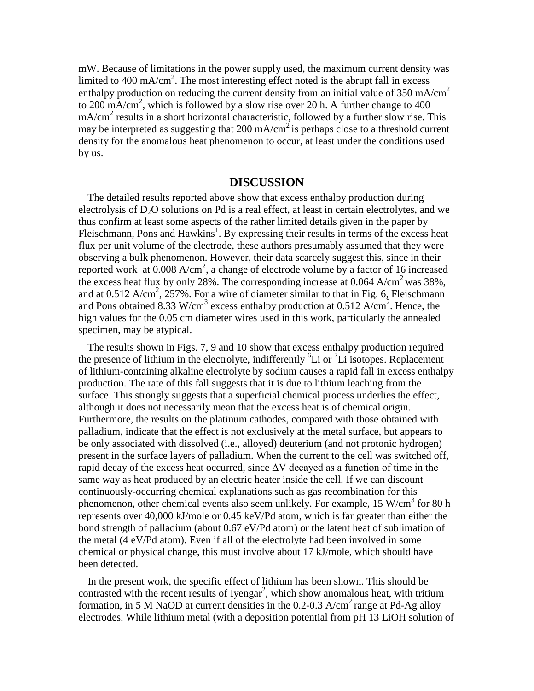mW. Because of limitations in the power supply used, the maximum current density was limited to 400 mA/cm<sup>2</sup>. The most interesting effect noted is the abrupt fall in excess enthalpy production on reducing the current density from an initial value of 350 mA/cm<sup>2</sup> to 200 mA/cm<sup>2</sup>, which is followed by a slow rise over 20 h. A further change to 400  $mA/cm<sup>2</sup>$  results in a short horizontal characteristic, followed by a further slow rise. This may be interpreted as suggesting that 200 mA/cm<sup>2</sup> is perhaps close to a threshold current density for the anomalous heat phenomenon to occur, at least under the conditions used by us.

#### **DISCUSSION**

The detailed results reported above show that excess enthalpy production during electrolysis of  $D_2O$  solutions on Pd is a real effect, at least in certain electrolytes, and we thus confirm at least some aspects of the rather limited details given in the paper by Fleischmann, Pons and Hawkins<sup>1</sup>. By expressing their results in terms of the excess heat flux per unit volume of the electrode, these authors presumably assumed that they were observing a bulk phenomenon. However, their data scarcely suggest this, since in their reported work<sup>1</sup> at 0.008 A/cm<sup>2</sup>, a change of electrode volume by a factor of 16 increased the excess heat flux by only 28%. The corresponding increase at 0.064  $A/cm^2$  was 38%, and at  $0.512$  A/cm<sup>2</sup>,  $257\%$ . For a wire of diameter similar to that in Fig. 6, Fleischmann and Pons obtained 8.33 W/cm<sup>3</sup> excess enthalpy production at 0.512  $A/cm^2$ . Hence, the high values for the 0.05 cm diameter wires used in this work, particularly the annealed specimen, may be atypical.

The results shown in Figs. 7, 9 and 10 show that excess enthalpy production required the presence of lithium in the electrolyte, indifferently  ${}^{6}Li$  or  ${}^{7}Li$  isotopes. Replacement of lithium-containing alkaline electrolyte by sodium causes a rapid fall in excess enthalpy production. The rate of this fall suggests that it is due to lithium leaching from the surface. This strongly suggests that a superficial chemical process underlies the effect, although it does not necessarily mean that the excess heat is of chemical origin. Furthermore, the results on the platinum cathodes, compared with those obtained with palladium, indicate that the effect is not exclusively at the metal surface, but appears to be only associated with dissolved (i.e., alloyed) deuterium (and not protonic hydrogen) present in the surface layers of palladium. When the current to the cell was switched off, rapid decay of the excess heat occurred, since  $\Delta V$  decayed as a function of time in the same way as heat produced by an electric heater inside the cell. If we can discount continuously-occurring chemical explanations such as gas recombination for this phenomenon, other chemical events also seem unlikely. For example,  $15 \text{ W/cm}^3$  for 80 h represents over 40,000 kJ/mole or 0.45 keV/Pd atom, which is far greater than either the bond strength of palladium (about 0.67 eV/Pd atom) or the latent heat of sublimation of the metal (4 eV/Pd atom). Even if all of the electrolyte had been involved in some chemical or physical change, this must involve about 17 kJ/mole, which should have been detected.

In the present work, the specific effect of lithium has been shown. This should be contrasted with the recent results of Iyengar<sup>2</sup>, which show anomalous heat, with tritium formation, in 5 M NaOD at current densities in the  $0.2$ -0.3 A/cm<sup>2</sup> range at Pd-Ag alloy electrodes. While lithium metal (with a deposition potential from pH 13 LiOH solution of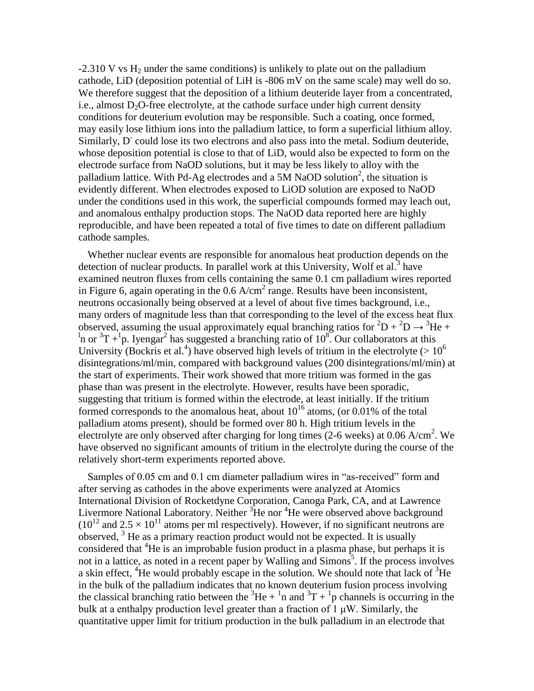$-2.310$  V vs H<sub>2</sub> under the same conditions) is unlikely to plate out on the palladium cathode, LiD (deposition potential of LiH is -806 mV on the same scale) may well do so. We therefore suggest that the deposition of a lithium deuteride layer from a concentrated, i.e., almost  $D_2O$ -free electrolyte, at the cathode surface under high current density conditions for deuterium evolution may be responsible. Such a coating, once formed, may easily lose lithium ions into the palladium lattice, to form a superficial lithium alloy. Similarly, D<sup>-</sup> could lose its two electrons and also pass into the metal. Sodium deuteride, whose deposition potential is close to that of LiD, would also be expected to form on the electrode surface from NaOD solutions, but it may be less likely to alloy with the palladium lattice. With Pd-Ag electrodes and a 5M NaOD solution<sup>2</sup>, the situation is evidently different. When electrodes exposed to LiOD solution are exposed to NaOD under the conditions used in this work, the superficial compounds formed may leach out, and anomalous enthalpy production stops. The NaOD data reported here are highly reproducible, and have been repeated a total of five times to date on different palladium cathode samples.

Whether nuclear events are responsible for anomalous heat production depends on the detection of nuclear products. In parallel work at this University, Wolf et al.<sup>3</sup> have examined neutron fluxes from cells containing the same 0.1 cm palladium wires reported in Figure 6, again operating in the  $0.6 \text{ A/cm}^2$  range. Results have been inconsistent, neutrons occasionally being observed at a level of about five times background, i.e., many orders of magnitude less than that corresponding to the level of the excess heat flux observed, assuming the usual approximately equal branching ratios for  ${}^{2}D + {}^{2}D \rightarrow {}^{3}He +$  $\frac{1}{2}$ n or  $\frac{3T}{1}$ +<sup>1</sup>p. Iyengar<sup>2</sup> has suggested a branching ratio of 10<sup>8</sup>. Our collaborators at this University (Bockris et al.<sup>4</sup>) have observed high levels of tritium in the electrolyte ( $> 10^6$ disintegrations/ml/min, compared with background values (200 disintegrations/ml/min) at the start of experiments. Their work showed that more tritium was formed in the gas phase than was present in the electrolyte. However, results have been sporadic, suggesting that tritium is formed within the electrode, at least initially. If the tritium formed corresponds to the anomalous heat, about  $10^{16}$  atoms, (or 0.01% of the total palladium atoms present), should be formed over 80 h. High tritium levels in the electrolyte are only observed after charging for long times (2-6 weeks) at 0.06 A/cm<sup>2</sup>. We have observed no significant amounts of tritium in the electrolyte during the course of the relatively short-term experiments reported above.

Samples of 0.05 cm and 0.1 cm diameter palladium wires in "as-received" form and after serving as cathodes in the above experiments were analyzed at Atomics International Division of Rocketdyne Corporation, Canoga Park, CA, and at Lawrence Livermore National Laboratory. Neither  ${}^{3}$ He nor  ${}^{4}$ He were observed above background  $(10^{12}$  and  $2.5 \times 10^{11}$  atoms per ml respectively). However, if no significant neutrons are observed,  $3$  He as a primary reaction product would not be expected. It is usually considered that  ${}^{4}$ He is an improbable fusion product in a plasma phase, but perhaps it is not in a lattice, as noted in a recent paper by Walling and Simons<sup>5</sup>. If the process involves a skin effect, <sup>4</sup>He would probably escape in the solution. We should note that lack of  ${}^{3}$ He in the bulk of the palladium indicates that no known deuterium fusion process involving the classical branching ratio between the  ${}^{3}$ He +  ${}^{1}$ n and  ${}^{3}$ T +  ${}^{1}$ p channels is occurring in the bulk at a enthalpy production level greater than a fraction of  $1 \mu W$ . Similarly, the quantitative upper limit for tritium production in the bulk palladium in an electrode that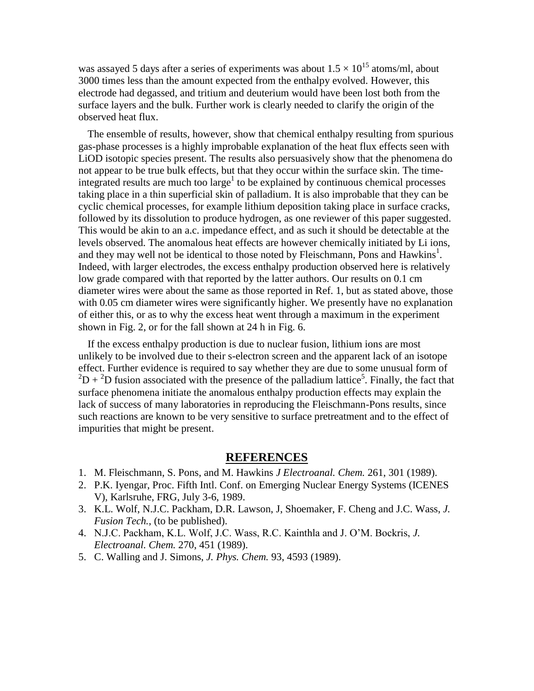was assayed 5 days after a series of experiments was about  $1.5 \times 10^{15}$  atoms/ml, about 3000 times less than the amount expected from the enthalpy evolved. However, this electrode had degassed, and tritium and deuterium would have been lost both from the surface layers and the bulk. Further work is clearly needed to clarify the origin of the observed heat flux.

The ensemble of results, however, show that chemical enthalpy resulting from spurious gas-phase processes is a highly improbable explanation of the heat flux effects seen with LiOD isotopic species present. The results also persuasively show that the phenomena do not appear to be true bulk effects, but that they occur within the surface skin. The timeintegrated results are much too large<sup>1</sup> to be explained by continuous chemical processes taking place in a thin superficial skin of palladium. It is also improbable that they can be cyclic chemical processes, for example lithium deposition taking place in surface cracks, followed by its dissolution to produce hydrogen, as one reviewer of this paper suggested. This would be akin to an a.c. impedance effect, and as such it should be detectable at the levels observed. The anomalous heat effects are however chemically initiated by Li ions, and they may well not be identical to those noted by Fleischmann, Pons and Hawkins<sup>1</sup>. Indeed, with larger electrodes, the excess enthalpy production observed here is relatively low grade compared with that reported by the latter authors. Our results on 0.1 cm diameter wires were about the same as those reported in Ref. 1, but as stated above, those with 0.05 cm diameter wires were significantly higher. We presently have no explanation of either this, or as to why the excess heat went through a maximum in the experiment shown in Fig. 2, or for the fall shown at 24 h in Fig. 6.

If the excess enthalpy production is due to nuclear fusion, lithium ions are most unlikely to be involved due to their s-electron screen and the apparent lack of an isotope effect. Further evidence is required to say whether they are due to some unusual form of  ${}^{2}D+{}^{2}D$  fusion associated with the presence of the palladium lattice<sup>5</sup>. Finally, the fact that surface phenomena initiate the anomalous enthalpy production effects may explain the lack of success of many laboratories in reproducing the Fleischmann-Pons results, since such reactions are known to be very sensitive to surface pretreatment and to the effect of impurities that might be present.

## **REFERENCES**

- 1. M. Fleischmann, S. Pons, and M. Hawkins *J Electroanal. Chem.* 261, 301 (1989).
- 2. P.K. Iyengar, Proc. Fifth Intl. Conf. on Emerging Nuclear Energy Systems (ICENES V), Karlsruhe, FRG, July 3-6, 1989.
- 3. K.L. Wolf, N.J.C. Packham, D.R. Lawson, J, Shoemaker, F. Cheng and J.C. Wass, *J. Fusion Tech.,* (to be published).
- 4. N.J.C.Packham,K.L.Wolf,J.C.Wass,R.C.KainthlaandJ.O'M.Bockris,*J. Electroanal. Chem.* 270, 451 (1989).
- 5. C. Walling and J. Simons, *J. Phys. Chem.* 93, 4593 (1989).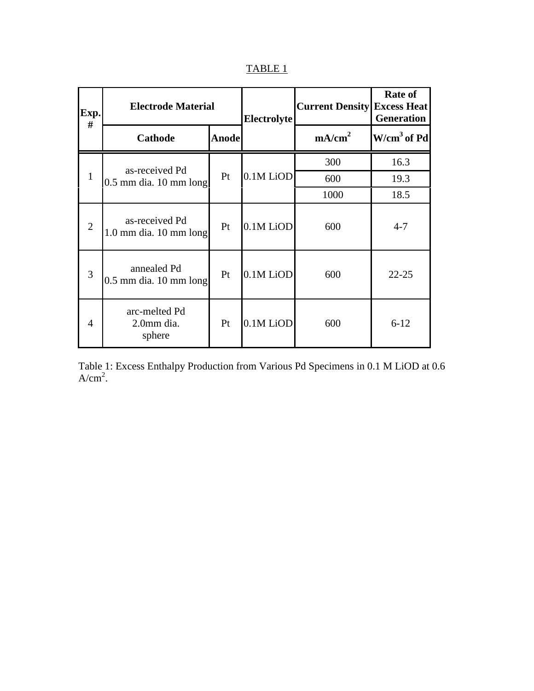| D<br>. .<br>. .<br>. . | ٠ |  |
|------------------------|---|--|
|                        |   |  |

| Exp.<br>#      | <b>Electrode Material</b>                    | <b>Electrolyte</b> | <b>Current Density</b> | <b>Rate of</b><br><b>Excess Heat</b><br><b>Generation</b> |               |
|----------------|----------------------------------------------|--------------------|------------------------|-----------------------------------------------------------|---------------|
|                | <b>Cathode</b>                               | <b>Anode</b>       |                        | mA/cm <sup>2</sup>                                        | $W/cm3$ of Pd |
| $\mathbf{1}$   | as-received Pd<br>$0.5$ mm dia. 10 mm long   | Pt                 | 0.1M LiOD              | 300                                                       | 16.3          |
|                |                                              |                    |                        | 600                                                       | 19.3          |
|                |                                              |                    |                        | 1000                                                      | 18.5          |
| $\overline{2}$ | as-received Pd<br>$1.0$ mm dia. $10$ mm long | Pt                 | 0.1M LiOD              | 600                                                       | $4 - 7$       |
| 3              | annealed Pd<br>$0.5$ mm dia. 10 mm long      | Pt                 | 0.1M LiOD              | 600                                                       | $22 - 25$     |
| 4              | arc-melted Pd<br>2.0mm dia.<br>sphere        | Pt                 | 0.1M LiOD              | 600                                                       | $6 - 12$      |

Table 1: Excess Enthalpy Production from Various Pd Specimens in 0.1 M LiOD at 0.6  $A/cm<sup>2</sup>$ .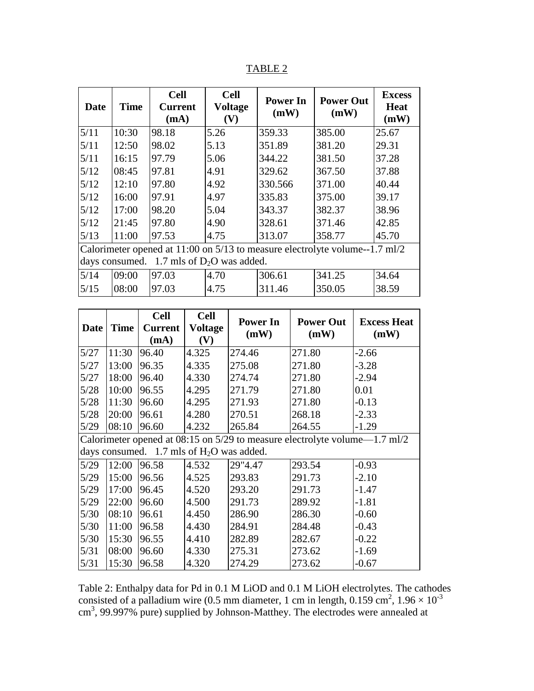TABLE 2

| <b>Date</b>                                                                     | <b>Time</b> | <b>Cell</b><br><b>Current</b><br>(mA) | <b>Cell</b><br><b>Voltage</b><br>(V) | <b>Power In</b><br>(mW) | <b>Power Out</b><br>(mW) | <b>Excess</b><br><b>Heat</b><br>(mW) |  |
|---------------------------------------------------------------------------------|-------------|---------------------------------------|--------------------------------------|-------------------------|--------------------------|--------------------------------------|--|
| 5/11                                                                            | 10:30       | 98.18                                 | 5.26                                 | 359.33                  | 385.00                   | 25.67                                |  |
| 5/11                                                                            | 12:50       | 98.02                                 | 5.13                                 | 351.89                  | 381.20                   | 29.31                                |  |
| 5/11                                                                            | 16:15       | 97.79                                 | 5.06                                 | 344.22                  | 381.50                   | 37.28                                |  |
| 5/12                                                                            | 08:45       | 97.81                                 | 4.91                                 | 329.62                  | 367.50                   | 37.88                                |  |
| 5/12                                                                            | 12:10       | 97.80                                 | 4.92                                 | 330.566                 | 371.00                   | 40.44                                |  |
| 5/12                                                                            | 16:00       | 97.91                                 | 4.97                                 | 335.83                  | 375.00                   | 39.17                                |  |
| 5/12                                                                            | 17:00       | 98.20                                 | 5.04                                 | 343.37                  | 382.37                   | 38.96                                |  |
| 5/12                                                                            | 21:45       | 97.80                                 | 4.90                                 | 328.61                  | 371.46                   | 42.85                                |  |
| 5/13                                                                            | 11:00       | 97.53                                 | 4.75                                 | 313.07                  | 358.77                   | 45.70                                |  |
| Calorimeter opened at $11:00$ on $5/13$ to measure electrolyte volume--1.7 ml/2 |             |                                       |                                      |                         |                          |                                      |  |
| days consumed. 1.7 mls of $D_2O$ was added.                                     |             |                                       |                                      |                         |                          |                                      |  |
| 5/14                                                                            | 09:00       | 97.03                                 | 4.70                                 | 306.61                  | 341.25                   | 34.64                                |  |
| 5/15                                                                            | 08:00       | 97.03                                 | 4.75                                 | 311.46                  | 350.05                   | 38.59                                |  |

|                                                                                   |             | <b>Cell</b>    | <b>Cell</b>    | <b>Power In</b> | <b>Power Out</b> | <b>Excess Heat</b><br>(mW) |  |
|-----------------------------------------------------------------------------------|-------------|----------------|----------------|-----------------|------------------|----------------------------|--|
| <b>Date</b>                                                                       | <b>Time</b> | <b>Current</b> | <b>Voltage</b> | (mW)            | (mW)             |                            |  |
|                                                                                   |             | (mA)           | (V)            |                 |                  |                            |  |
| 5/27                                                                              | 11:30       | 96.40          | 4.325          | 274.46          | 271.80           | $-2.66$                    |  |
| 5/27                                                                              | 13:00       | 96.35          | 4.335          | 275.08          | 271.80           | $-3.28$                    |  |
| 5/27                                                                              | 18:00       | 96.40          | 4.330          | 274.74          | 271.80           | $-2.94$                    |  |
| 5/28                                                                              | 10:00       | 96.55          | 4.295          | 271.79          | 271.80           | 0.01                       |  |
| 5/28                                                                              | 11:30       | 96.60          | 4.295          | 271.93          | 271.80           | $-0.13$                    |  |
| $5/28$                                                                            | 20:00       | 96.61          | 4.280          | 270.51          | 268.18           | $-2.33$                    |  |
| 5/29                                                                              | 08:10       | 96.60          | 4.232          | 265.84          | 264.55           | $-1.29$                    |  |
| Calorimeter opened at $08:15$ on $5/29$ to measure electrolyte volume— $1.7$ ml/2 |             |                |                |                 |                  |                            |  |
| days consumed. $1.7$ mls of $H2O$ was added.                                      |             |                |                |                 |                  |                            |  |
| 5/29                                                                              | 12:00       | 96.58          | 4.532          | 29"4.47         | 293.54           | $-0.93$                    |  |
| 5/29                                                                              | 15:00       | 96.56          | 4.525          | 293.83          | 291.73           | $-2.10$                    |  |
| 5/29                                                                              | 17:00       | 96.45          | 4.520          | 293.20          | 291.73           | $-1.47$                    |  |
| 5/29                                                                              | 22:00       | 96.60          | 4.500          | 291.73          | 289.92           | $-1.81$                    |  |
| 5/30                                                                              | 08:10       | 96.61          | 4.450          | 286.90          | 286.30           | $-0.60$                    |  |
| $5/30$                                                                            | 11:00       | 96.58          | 4.430          | 284.91          | 284.48           | $-0.43$                    |  |
| 5/30                                                                              | 15:30       | 96.55          | 4.410          | 282.89          | 282.67           | $-0.22$                    |  |
| 5/31                                                                              | 08:00       | 96.60          | 4.330          | 275.31          | 273.62           | $-1.69$                    |  |
| 5/31                                                                              | 15:30       | 96.58          | 4.320          | 274.29          | 273.62           | $-0.67$                    |  |

Table 2: Enthalpy data for Pd in 0.1 M LiOD and 0.1 M LiOH electrolytes. The cathodes consisted of a palladium wire (0.5 mm diameter, 1 cm in length,  $0.159 \text{ cm}^2$ ,  $1.96 \times 10^{-3}$ cm<sup>3</sup>, 99.997% pure) supplied by Johnson-Matthey. The electrodes were annealed at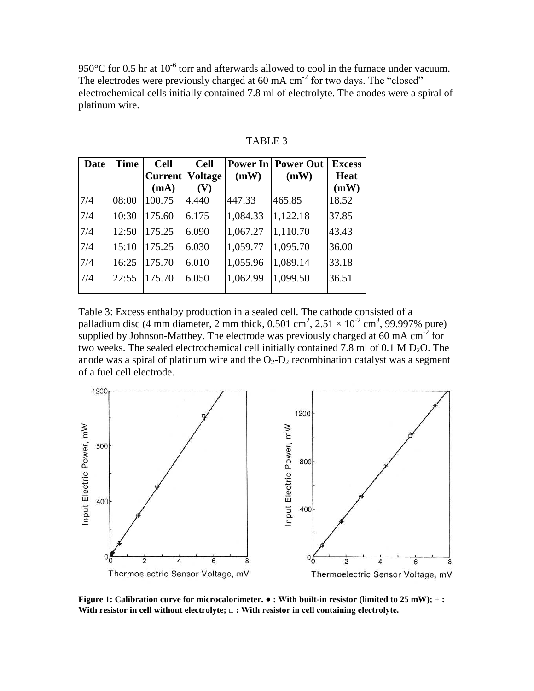950 $\rm{°C}$  for 0.5 hr at 10<sup>-6</sup> torr and afterwards allowed to cool in the furnace under vacuum. The electrodes were previously charged at  $60 \text{ mA cm}^{-2}$  for two days. The "closed" electrochemical cells initially contained 7.8 ml of electrolyte. The anodes were a spiral of platinum wire.

| <b>Time</b> | <b>Cell</b> | <b>Cell</b>    |                |                      | <b>Excess</b>             |
|-------------|-------------|----------------|----------------|----------------------|---------------------------|
|             |             | <b>Voltage</b> | (mW)           | (mW)                 | <b>Heat</b>               |
|             | (mA)        | (V)            |                |                      | (mW)                      |
| 08:00       | 100.75      | 4.440          | 447.33         | 465.85               | 18.52                     |
| 10:30       | 175.60      | 6.175          | 1,084.33       | 1,122.18             | 37.85                     |
| 12:50       | 175.25      | 6.090          |                | 1,110.70             | 43.43                     |
| 15:10       | 175.25      | 6.030          |                | 1,095.70             | 36.00                     |
| 16:25       | 175.70      | 6.010          | 1,055.96       | 1,089.14             | 33.18                     |
| 22:55       | 175.70      | 6.050          | 1,062.99       | 1,099.50             | 36.51                     |
|             |             |                | <b>Current</b> | 1,067.27<br>1,059.77 | <b>Power In Power Out</b> |

TABLE 3

Table 3: Excess enthalpy production in a sealed cell. The cathode consisted of a palladium disc (4 mm diameter, 2 mm thick,  $0.501 \text{ cm}^2$ ,  $2.51 \times 10^{-2} \text{ cm}^3$ , 99.997% pure) supplied by Johnson-Matthey. The electrode was previously charged at 60 mA  $cm<sup>2</sup>$  for two weeks. The sealed electrochemical cell initially contained 7.8 ml of 0.1 M  $D_2O$ . The anode was a spiral of platinum wire and the  $O_2$ - $D_2$  recombination catalyst was a segment of a fuel cell electrode.



**Figure 1: Calibration curve for microcalorimeter.**  $\bullet$  **: With built-in resistor (limited to 25 mW); + : With resistor in cell without electrolyte;** □: With resistor in cell containing electrolyte.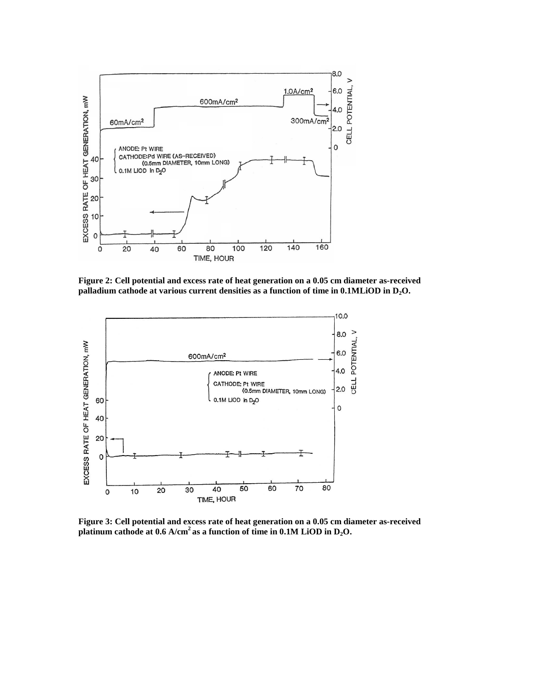

**Figure 2: Cell potential and excess rate of heat generation on a 0.05 cm diameter as-received palladium cathode at various current densities as a function of time in 0.1MLiOD in D2O.**



**Figure 3: Cell potential and excess rate of heat generation on a 0.05 cm diameter as-received platinum cathode at 0.6 A/cm<sup>2</sup> as a function of time in 0.1M LiOD in D2O.**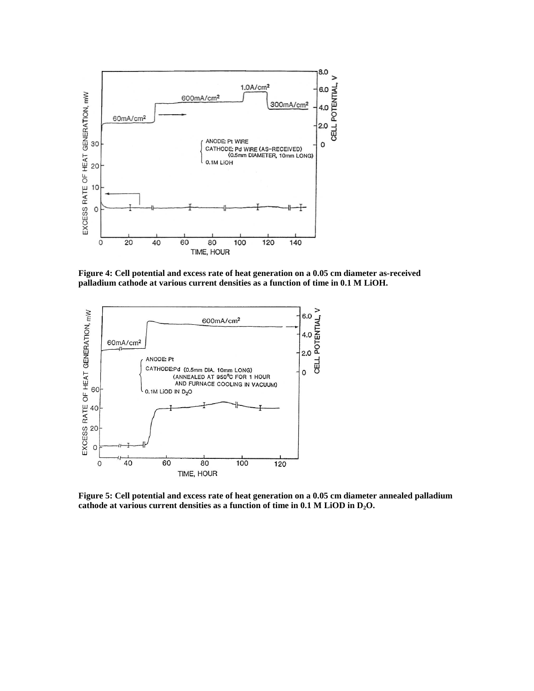

**Figure 4: Cell potential and excess rate of heat generation on a 0.05 cm diameter as-received palladium cathode at various current densities as a function of time in 0.1 M LiOH.**



**Figure 5: Cell potential and excess rate of heat generation on a 0.05 cm diameter annealed palladium cathode at various current densities as a function of time in 0.1 M LiOD in D2O.**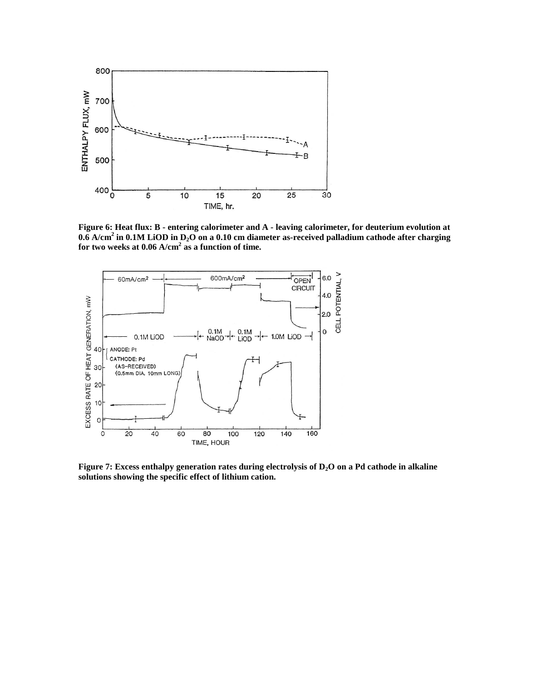

**Figure 6: Heat flux: B - entering calorimeter and A** *-* **leaving calorimeter, for deuterium evolution at 0.6 A/cm<sup>2</sup> in 0.1M LiOD in D2O on a 0.10 cm diameter as-received palladium cathode after charging for two weeks at 0.06 A/cm<sup>2</sup> as a function of time.**



**Figure 7: Excess enthalpy generation rates during electrolysis of D2O on a Pd cathode in alkaline solutions showing the specific effect of lithium cation.**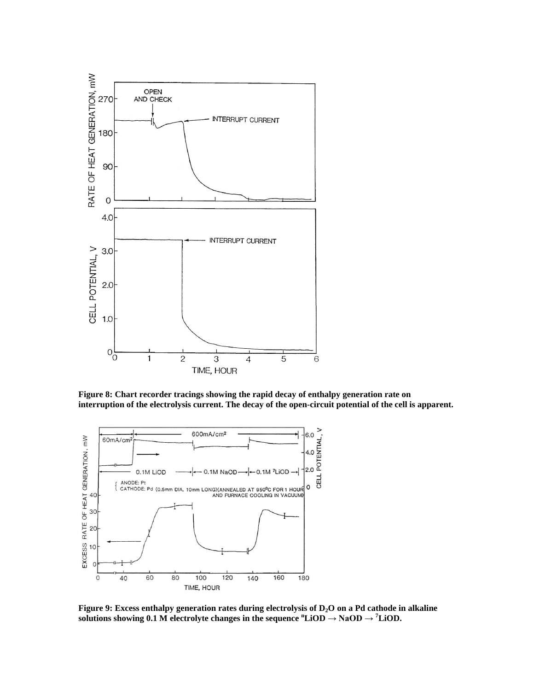

**Figure 8: Chart recorder tracings showing the rapid decay of enthalpy generation rate on interruption of the electrolysis current. The decay of the open-circuit potential of the cell is apparent.**



**Figure 9: Excess enthalpy generation rates during electrolysis of D2O on a Pd cathode in alkaline solutions showing 0.1 M electrolyte changes in the sequence**  ${}^n$ **LiOD**  $\rightarrow$  **NaOD**  $\rightarrow {}^7$ **LiOD.**